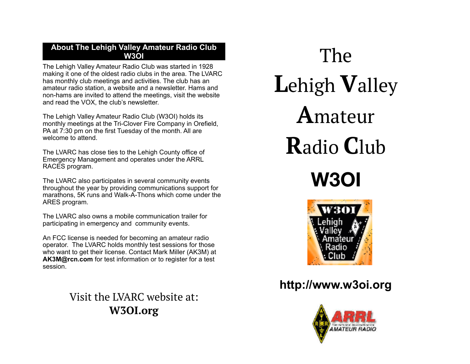## **About The Lehigh Valley Amateur Radio Club W3OI**

The Lehigh Valley Amateur Radio Club was started in 1928 making it one of the oldest radio clubs in the area. The LVARC has monthly club meetings and activities. The club has an amateur radio station, a website and a newsletter. Hams and non-hams are invited to attend the meetings, visit the website and read the VOX, the club's newsletter.

The Lehigh Valley Amateur Radio Club (W3OI) holds its monthly meetings at the Tri-Clover Fire Company in Orefield, PA at 7:30 pm on the first Tuesday of the month. All are welcome to attend.

The LVARC has close ties to the Lehigh County office of Emergency Management and operates under the ARRL RACES program.

The LVARC also participates in several community events throughout the year by providing communications support for marathons, 5K runs and Walk-A-Thons which come under the ARES program.

The LVARC also owns a mobile communication trailer for participating in emergency and community events.

An FCC license is needed for becoming an amateur radio operator. The LVARC holds monthly test sessions for those who want to get their license. Contact Mark Miller (AK3M) at **[AK3M@rcn.com](mailto:AK3M@rcn.com)** for test information or to register for a test session.

> Visit the LVARC website at: **W3OI.org**

The **L**ehigh **V**alley **A**mateur **R**adio **C**lub **W3OI**



# **http://www.w3oi.org**